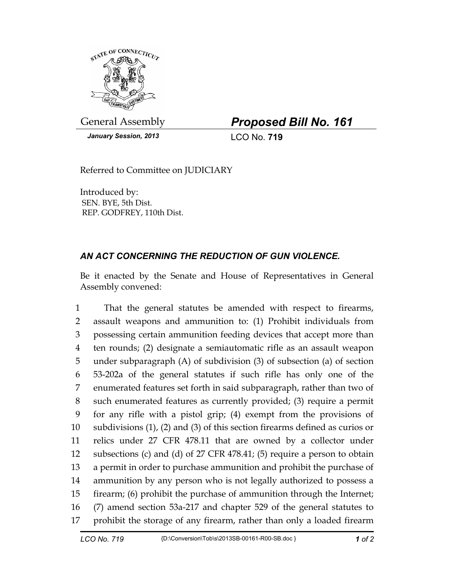

General Assembly *Proposed Bill No. 161* 

*January Session, 2013* LCO No. **719**

Referred to Committee on JUDICIARY

Introduced by: SEN. BYE, 5th Dist. REP. GODFREY, 110th Dist.

## *AN ACT CONCERNING THE REDUCTION OF GUN VIOLENCE.*

Be it enacted by the Senate and House of Representatives in General Assembly convened:

1 That the general statutes be amended with respect to firearms, 2 assault weapons and ammunition to: (1) Prohibit individuals from 3 possessing certain ammunition feeding devices that accept more than 4 ten rounds; (2) designate a semiautomatic rifle as an assault weapon 5 under subparagraph (A) of subdivision (3) of subsection (a) of section 6 53-202a of the general statutes if such rifle has only one of the 7 enumerated features set forth in said subparagraph, rather than two of 8 such enumerated features as currently provided; (3) require a permit 9 for any rifle with a pistol grip; (4) exempt from the provisions of 10 subdivisions (1), (2) and (3) of this section firearms defined as curios or 11 relics under 27 CFR 478.11 that are owned by a collector under 12 subsections (c) and (d) of 27 CFR 478.41; (5) require a person to obtain 13 a permit in order to purchase ammunition and prohibit the purchase of 14 ammunition by any person who is not legally authorized to possess a 15 firearm; (6) prohibit the purchase of ammunition through the Internet; 16 (7) amend section 53a-217 and chapter 529 of the general statutes to 17 prohibit the storage of any firearm, rather than only a loaded firearm